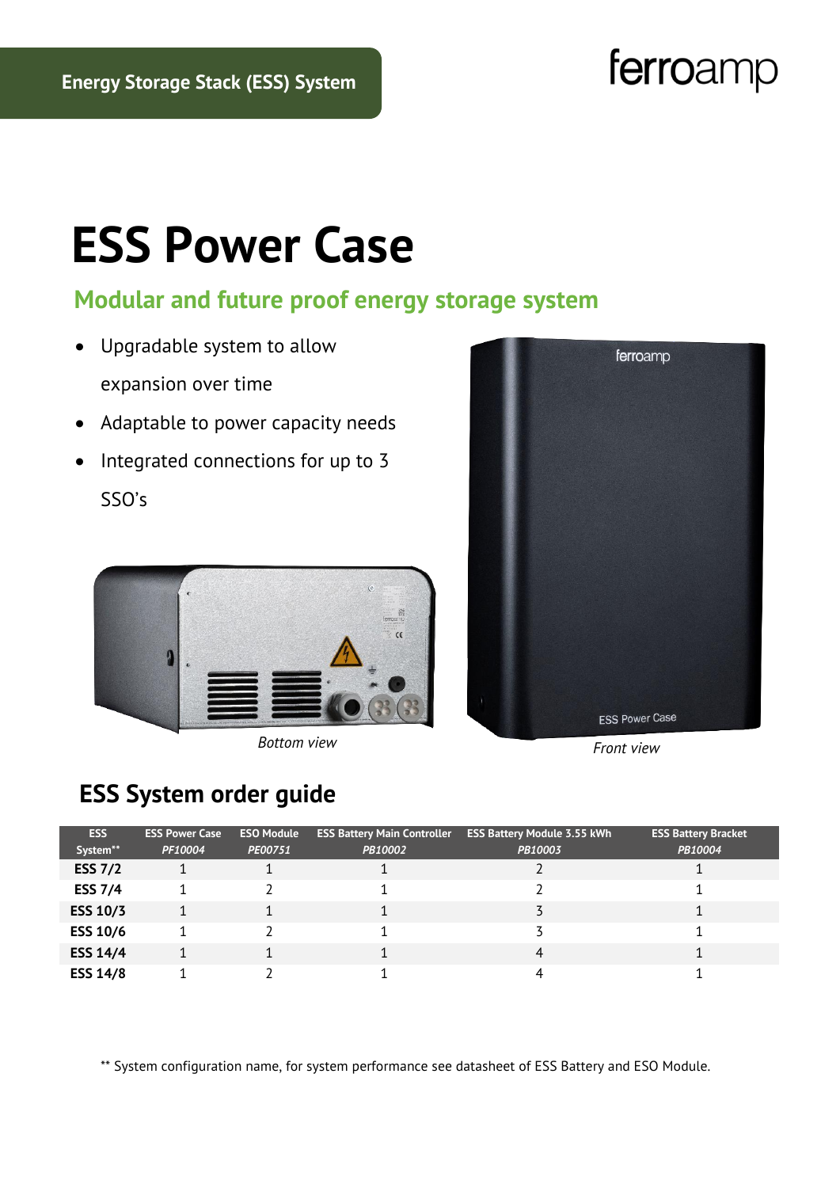## ferroamp

# **ESS Power Case**

#### **Modular and future proof energy storage system**

- Upgradable system to allow expansion over time
- Adaptable to power capacity needs
- Integrated connections for up to 3

SSO's



*Front view Bottom view*



### **ESS System order guide**

| <b>ESS</b>      | <b>ESS Power Case</b> | <b>ESO Module</b> | <b>ESS Battery Main Controller</b> | <b>ESS Battery Module 3.55 kWh</b> | <b>ESS Battery Bracket</b> |
|-----------------|-----------------------|-------------------|------------------------------------|------------------------------------|----------------------------|
| System**        | PF10004               | PE00751           | PB10002                            | PB10003                            | PB10004                    |
| <b>ESS 7/2</b>  |                       |                   |                                    |                                    |                            |
| <b>ESS 7/4</b>  |                       |                   |                                    |                                    |                            |
| <b>ESS 10/3</b> |                       |                   |                                    |                                    |                            |
| <b>ESS 10/6</b> |                       |                   |                                    |                                    |                            |
| <b>ESS 14/4</b> |                       |                   |                                    |                                    |                            |
| <b>ESS 14/8</b> |                       |                   |                                    |                                    |                            |

\*\* System configuration name, for system performance see datasheet of ESS Battery and ESO Module.